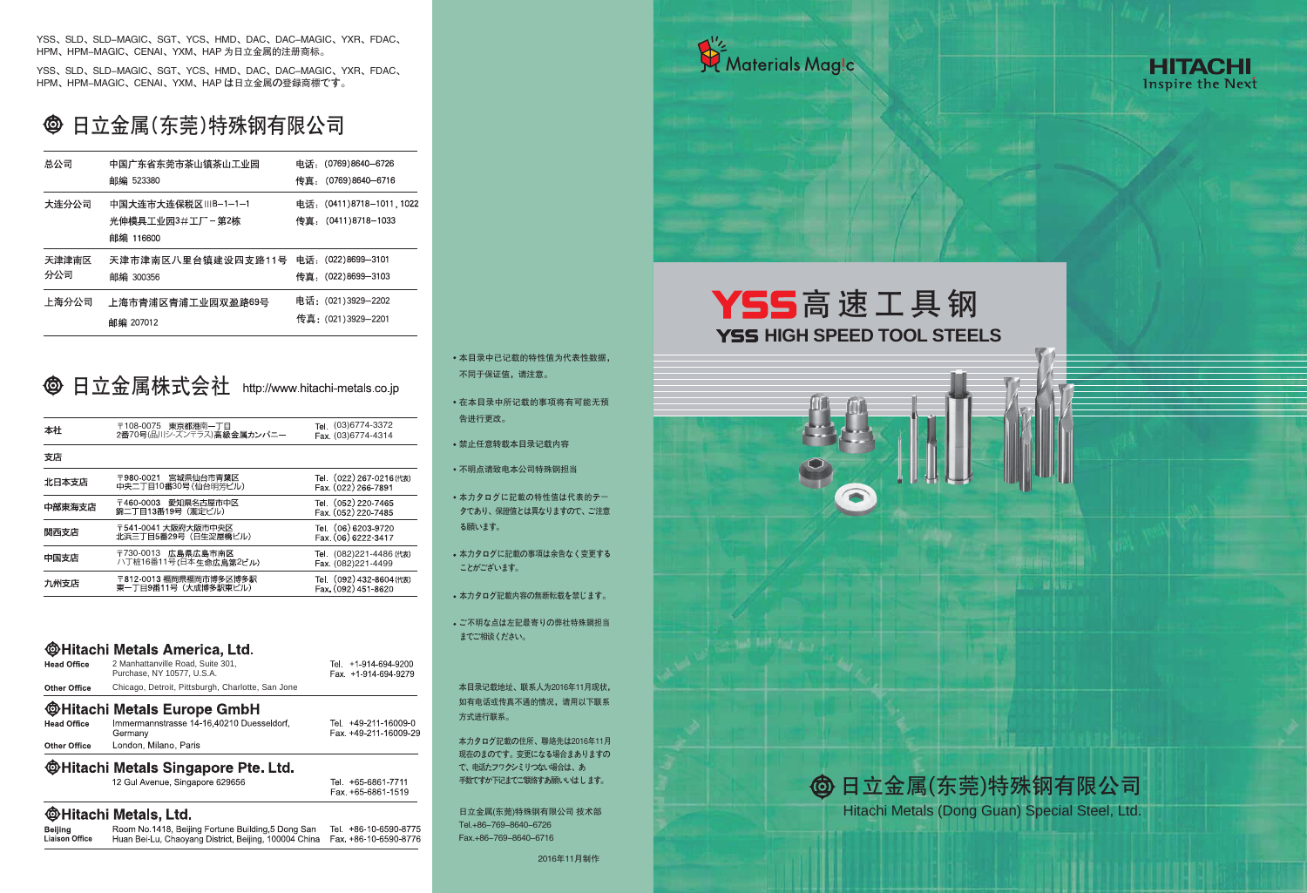YSS、SLD、SLD-MAGIC、SGT、YCS、HMD、DAC、DAC-MAGIC、YXR、FDAC、 HPM、HPM-MAGIC、CENAI、YXM、HAP 为日立金属的注册商标。

## 日立金属(东莞)特殊钢有限公司  $\bigcirc$

YSS、SLD、SLD-MAGIC、SGT、YCS、HMD、DAC、DAC-MAGIC、YXR、FDAC、 HPM、HPM-MAGIC、CENAI、YXM、HAP は日立金属の登录商标です。

> 本目录记载地址、联系人为2016年11月现状, 如有电话或传真不通的情况,请用以下联系 方式进行联系。

日立金属(东莞)特殊钢有限公司 技术部 Tel.+86-769-8640-6726 Fax.+86-769-8640-6716



# **YSS HIGH SPEED TOOL STEELS** YSS高速工具钢

- 本目录中已记载的特性值为代表性数据, 不同于保证值,请注意。
- 在本目录中所记载的事项将有可能无预 告进行更改。
- 禁止任意转载本目录记载内容
- 不明点请致电本公司特殊钢担当
- 本力タログに记载の特性值は代表的テー タであり、保证值とは異なりますので、ご注意 る願います。
- 本力タログに记载の事项は余告なく变更する ことがございます。
- 本力タログ记载内容の无断転载を禁じます。
- ご不明な点は左記最寄りの弊社特殊鋼担当 までご相谈ください。

本力タログ记载の住所、联络先は2016年11月 现在のまのです。变更になる场合まありますの で、电话たフヮクシミリつない场合は、あ 手数ですか下记までご联络すあ願いいはします。

| 总公司   | 中国广东省东莞市茶山镇茶山工业园   | 电话: (0769)8640-6726       |
|-------|--------------------|---------------------------|
|       | 邮编 523380          | 传真: (0769)8640-6716       |
| 大连分公司 | 中国大连市大连保税区ⅢB—1—1—1 | 电话: (0411)8718-1011, 1022 |
|       | 光伸模具工业园3#工厂-第2栋    | 传真: (0411)8718-1033       |
|       | 邮编 116600          |                           |
| 天津津南区 | 天津市津南区八里台镇建设四支路11号 | 电话: (022)8699-3101        |
| 分公司   | 邮编 300356          | 传真 (022)8699-3103         |
| 上海分公司 | 上海市青浦区青浦工业园双盈路69号  | 电话: (021)3929-2202        |
|       | 邮编 207012          | 传真: (021)3929-2201        |

# **©** 日立金属株式会社 http://www.hitachi-metals.co.jp

| 〒108-0075 東京都港南一丁目<br>2番70号(品川シ-ズンテラス)高級金属カンパニー | Tel. (03)6774-3372<br>Fax (03)6774-4314                                                                                                                                                                                     |
|-------------------------------------------------|-----------------------------------------------------------------------------------------------------------------------------------------------------------------------------------------------------------------------------|
|                                                 |                                                                                                                                                                                                                             |
|                                                 |                                                                                                                                                                                                                             |
|                                                 | Tel. (022) 267-0216 (代表)<br>Fax. (022) 266-7891                                                                                                                                                                             |
|                                                 | Tel. (052) 220-7465<br>Fax. (052) 220-7485                                                                                                                                                                                  |
|                                                 | Tel. (06) 6203-9720<br>Fax (06) 6222-3417                                                                                                                                                                                   |
|                                                 | Tel. (082)221-4486 (代表)<br>Fax (082)221-4499                                                                                                                                                                                |
|                                                 | Tel. (092) 432-8604 (代表)<br>Fax. (092) 451-8620                                                                                                                                                                             |
|                                                 | 〒980-0021 宮城県仙台市青葉区<br>中央二丁目10番30号(仙台明芳ビル)<br>愛知県名古屋市中区<br>錦二丁目13番19号 (瀧定ビル)<br>〒541-0041 大阪府大阪市中央区<br>北浜三丁目5番29号(日生淀屋橋ビル)<br>〒730-0013 広島県広島市南区<br>ハ丁桩16番11号(日本生命広島第2ビル)<br>〒812-0013 福岡県福岡市博多区博多駅<br>東一丁目9番11号 (大成博多駅東ビル) |

# **@Hitachi Metals America, Ltd.**

| <b>Head Office</b>  | 2 Manhattanville Road, Suite 301,<br>Purchase, NY 10577, U.S.A. | Tel. +1-914-694-9200<br>Fax. +1-914-694-9279  |
|---------------------|-----------------------------------------------------------------|-----------------------------------------------|
| <b>Other Office</b> | Chicago, Detroit, Pittsburgh, Charlotte, San Jone               |                                               |
|                     | <b>@Hitachi Metals Europe GmbH</b>                              |                                               |
| <b>Head Office</b>  | Immermannstrasse 14-16,40210 Duesseldorf,<br>Germany            | Tel. +49-211-16009-0<br>Fax. +49-211-16009-29 |
| <b>Other Office</b> | London, Milano, Paris                                           |                                               |

# **@Hitachi Metals Singapore Pte. Ltd.**

12 Gul Avenue, Singapore 629656

# **@Hitachi Metals, Ltd.**

| Beijing               | Room No. 1418, Beijing Fortune Building, 5 Dong San                         | Tel. +86-10-6590-8775 |
|-----------------------|-----------------------------------------------------------------------------|-----------------------|
| <b>Liaison Office</b> | Huan Bei-Lu, Chaoyang District, Beijing, 100004 China Fax, +86-10-6590-8776 |                       |

Tel. +65-6861-7711 Fax +65-6861-1519





Hitachi Metals (Dong Guan) Special Steel, Ltd.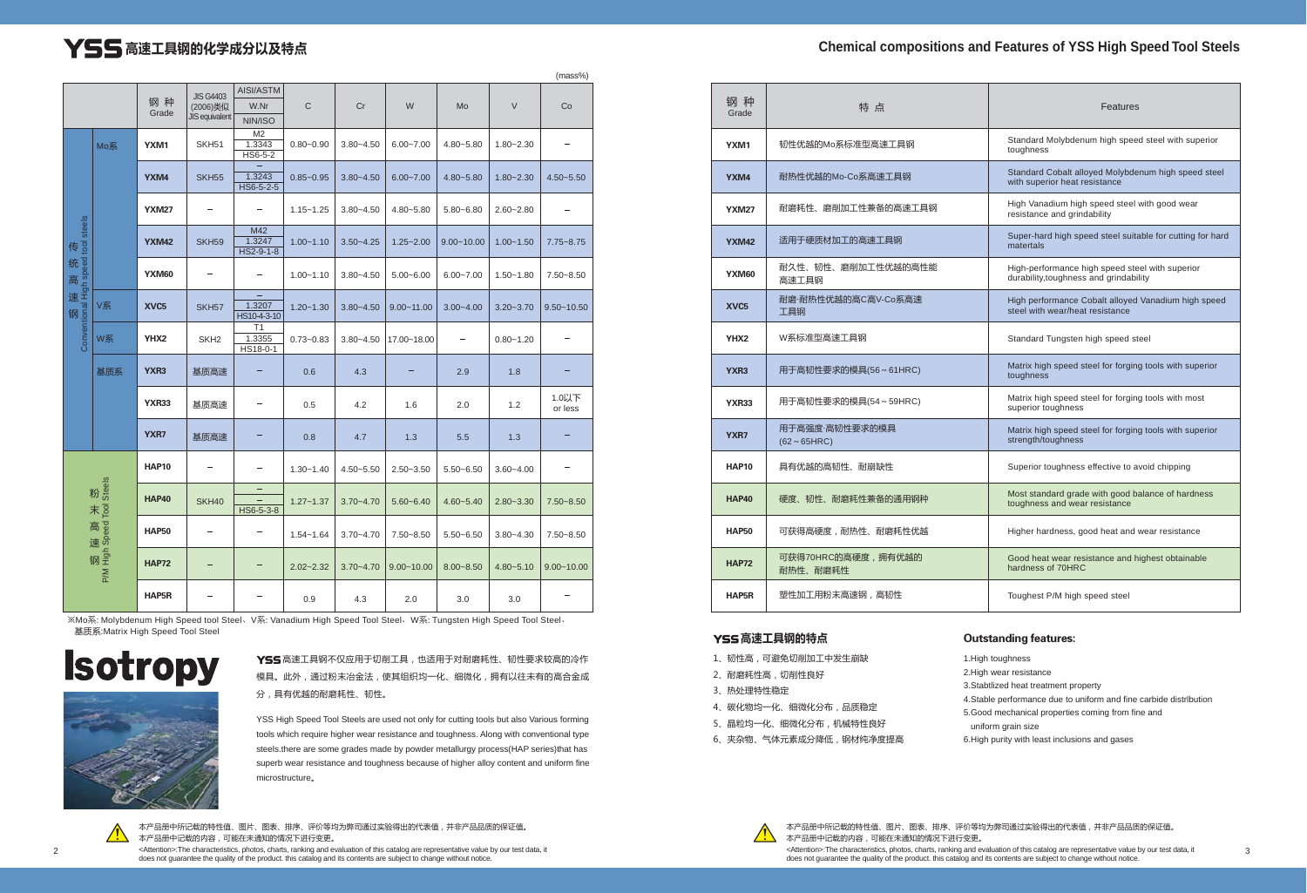Y55 高速工具钢不仅应用于切削工具, 也适用于对耐磨耗性、韧性要求较高的冷作 模具。此外,通过粉末冶金法,使其组织均一化、细微化,拥有以往未有的高合金成 分,具有优越的耐磨耗性、韧性。



# **丫55** 高速工具钢的化学成分以及特点

# **Chemical compositions and Features of YSS High Speed Tool Steels**

YSS High Speed Tool Steels are used not only for cutting tools but also Various forming tools which require higher wear resistance and toughness. Along with conventional type steels.there are some grades made by powder metallurgy process(HAP series)that has superb wear resistance and toughness because of higher alloy content and uniform fine microstructure。



2 3 <Attention>:The characteristics, photos, charts, ranking and evaluation of this catalog are representative value by our test data, it 本产品册中所记载的特性值、图片、图表、排序、评价等均为弊司通过实验得出的代表值,并非产品品质的保证值。 本产品册中记载的内容,可能在未通知的情况下进行变更。 does not guarantee the quality of the product. this catalog and its contents are subject to change without notice.

本产品册中所记载的特性值、图片、图表、排序、评价等均为弊司通过实验得出的代表值,并非产品品质的保证值。 本产品册中记载的内容,可能在未通知的情况下进行变更。

<Attention>:The characteristics, photos, charts, ranking and evaluation of this catalog are representative value by our test data, it does not guarantee the quality of the product. this catalog and its contents are subject to change without notice.

|                                                                                       |     |                  |                              |                                     |               |               |                |                |               | (mass%)          |
|---------------------------------------------------------------------------------------|-----|------------------|------------------------------|-------------------------------------|---------------|---------------|----------------|----------------|---------------|------------------|
|                                                                                       |     | 钢种               | <b>JIS G4403</b><br>(2006)类似 | AISI/ASTM<br>W.Nr                   | $\mathsf C$   | Cr            | W              | Mo             | $\vee$        | Co               |
|                                                                                       |     | Grade            | <b>JIS equivalent</b>        | NIN/ISO                             |               |               |                |                |               |                  |
|                                                                                       | Mo系 | YXM1             | SKH <sub>51</sub>            | M <sub>2</sub><br>1.3343<br>HS6-5-2 | $0.80 - 0.90$ | $3.80 - 4.50$ | $6.00 - 7.00$  | 4.80~5.80      | $1.80 - 2.30$ |                  |
|                                                                                       |     | YXM4             | <b>SKH55</b>                 | 1.3243<br>$HS6 - 5 - 2 - 5$         | $0.85 - 0.95$ | $3.80 - 4.50$ | $6.00 - 7.00$  | $4.80 - 5.80$  | $1.80 - 2.30$ | 4.50~5.50        |
|                                                                                       |     | <b>YXM27</b>     |                              |                                     | $1.15 - 1.25$ | $3.80 - 4.50$ | 4.80~5.80      | $5.80 - 6.80$  | $2.60 - 2.80$ |                  |
|                                                                                       |     | <b>YXM42</b>     | <b>SKH59</b>                 | M42<br>1.3247<br>$HS2 - 9 - 1 - 8$  | $1.00 - 1.10$ | $3.50 - 4.25$ | $1.25 - 2.00$  | $9.00 - 10.00$ | $1.00 - 1.50$ | 7.75~8.75        |
|                                                                                       |     | YXM60            |                              |                                     | $1.00 - 1.10$ | $3.80 - 4.50$ | $5.00 - 6.00$  | $6.00 - 7.00$  | $1.50 - 1.80$ | 7.50~8.50        |
| yeaus loo, peeds up!   reco.; peeds up!   reco.; peeds up!   reco.;   reco.;   reco.; | V系  | XVC <sub>5</sub> | SKH <sub>57</sub>            | 1.3207<br>HS10-4-3-10               | $1.20 - 1.30$ | $3.80 - 4.50$ | $9.00 - 11.00$ | $3.00 - 4.00$  | $3.20 - 3.70$ | $9.50 - 10.50$   |
|                                                                                       | W系  | YHX <sub>2</sub> | SKH <sub>2</sub>             | T1<br>1.3355<br>HS18-0-1            | $0.73 - 0.83$ | $3.80 - 4.50$ | 17.00~18.00    |                | $0.80 - 1.20$ |                  |
|                                                                                       | 基质系 | YXR <sub>3</sub> | 基质高速                         |                                     | 0.6           | 4.3           |                | 2.9            | 1.8           |                  |
|                                                                                       |     | <b>YXR33</b>     | 基质高速                         | -                                   | 0.5           | 4.2           | 1.6            | 2.0            | 1.2           | 1.0以下<br>or less |
|                                                                                       |     | YXR7             | 基质高速                         |                                     | 0.8           | 4.7           | 1.3            | 5.5            | 1.3           |                  |
|                                                                                       |     | <b>HAP10</b>     |                              | ÷                                   | $1.30 - 1.40$ | $4.50 - 5.50$ | $2.50 - 3.50$  | $5.50 - 6.50$  | $3.60 - 4.00$ |                  |
| 粉末高速钢<br>seeàs loqL peeds u0H Mud                                                     |     | <b>HAP40</b>     | SKH40                        | $\equiv$<br>HS6-5-3-8               | $1.27 - 1.37$ | $3.70 - 4.70$ | $5.60 - 6.40$  | $4.60 - 5.40$  | $2.80 - 3.30$ | 7.50~8.50        |
|                                                                                       |     | <b>HAP50</b>     |                              |                                     | $1.54 - 1.64$ | $3.70 - 4.70$ | 7.50~8.50      | $5.50 - 6.50$  | $3.80 - 4.30$ | 7.50~8.50        |
|                                                                                       |     | <b>HAP72</b>     |                              |                                     | $2.02 - 2.32$ | $3.70 - 4.70$ | $9.00 - 10.00$ | $8.00 - 8.50$  | $4.80 - 5.10$ | $9.00 - 10.00$   |
|                                                                                       |     | HAP5R            |                              |                                     | 0.9           | 4.3           | 2.0            | 3.0            | 3.0           |                  |

| 钢种<br>Grade      | 特点                                   | <b>Features</b>                                                                           |
|------------------|--------------------------------------|-------------------------------------------------------------------------------------------|
| YXM1             | 韧性优越的Mo系标准型高速工具钢                     | Standard Molybdenum high speed steel with superior<br>toughness                           |
| YXM4             | 耐热性优越的Mo-Co系高速工具钢                    | Standard Cobalt alloyed Molybdenum high speed steel<br>with superior heat resistance      |
| <b>YXM27</b>     | 耐磨耗性、磨削加工性兼备的高速工具钢                   | High Vanadium high speed steel with good wear<br>resistance and grindability              |
| <b>YXM42</b>     | 适用于硬质材加工的高速工具钢                       | Super-hard high speed steel suitable for cutting for hard<br>matertals                    |
| YXM60            | 耐久性、韧性、磨削加工性优越的高性能<br>高速工具钢          | High-performance high speed steel with superior<br>durability, toughness and grindability |
| XVC <sub>5</sub> | 耐磨·耐热性优越的高C高V-Co系高速<br>工具钢           | High performance Cobalt alloyed Vanadium high speed<br>steel with wear/heat resistance    |
| YHX <sub>2</sub> | W系标准型高速工具钢                           | Standard Tungsten high speed steel                                                        |
| YXR <sub>3</sub> | 用于高韧性要求的模具(56~61HRC)                 | Matrix high speed steel for forging tools with superior<br>toughness                      |
| <b>YXR33</b>     | 用于高韧性要求的模具(54~59HRC)                 | Matrix high speed steel for forging tools with most<br>superior toughness                 |
| YXR7             | 用于高强度·高韧性要求的模具<br>$(62 \sim 65$ HRC) | Matrix high speed steel for forging tools with superior<br>strength/toughness             |
| <b>HAP10</b>     | 具有优越的高韧性、耐崩缺性                        | Superior toughness effective to avoid chipping                                            |
| <b>HAP40</b>     | 硬度、韧性、耐磨耗性兼备的通用钢种                    | Most standard grade with good balance of hardness<br>toughness and wear resistance        |
| <b>HAP50</b>     | 可获得高硬度,耐热性、耐磨耗性优越                    | Higher hardness, good heat and wear resistance                                            |
| <b>HAP72</b>     | 可获得70HRC的高硬度,拥有优越的<br>耐热性、耐磨耗性       | Good heat wear resistance and highest obtainable<br>hardness of 70HRC                     |
| HAP5R            | 塑性加工用粉末高速钢,高韧性                       | Toughest P/M high speed steel                                                             |

### Y**SS** 高速工具钢的特点

| 1、韧性高,可避免切削加工中发生崩缺     | 1      |
|------------------------|--------|
| 2、耐磨耗性高,切削性良好          | 2      |
| 3、热处理特性稳定              | 3      |
| 4、碳化物均一化、细微化分布,品质稳定    | 4<br>5 |
| 5、晶粒均一化、细微化分布,机械特性良好   |        |
| 6、夹杂物、气体元素成分降低,钢材纯净度提高 | 6      |



- 1.High toughness
- 2.High wear resistance
- 3.Stabtlized heat treatment property
- 4.Stable performance due to uniform and fine carbide distrlbution
- 5.Good mechanical properties coming from fine and
- uniform grain size
- 6.High purity with least inclusions and gases

## Outstanding features:

※Mo系: Molybdenum High Speed tool Steel、V系: Vanadium High Speed Tool Steel、W系: Tungsten High Speed Tool Steel、 基质系:Matrix High Speed Tool Steel

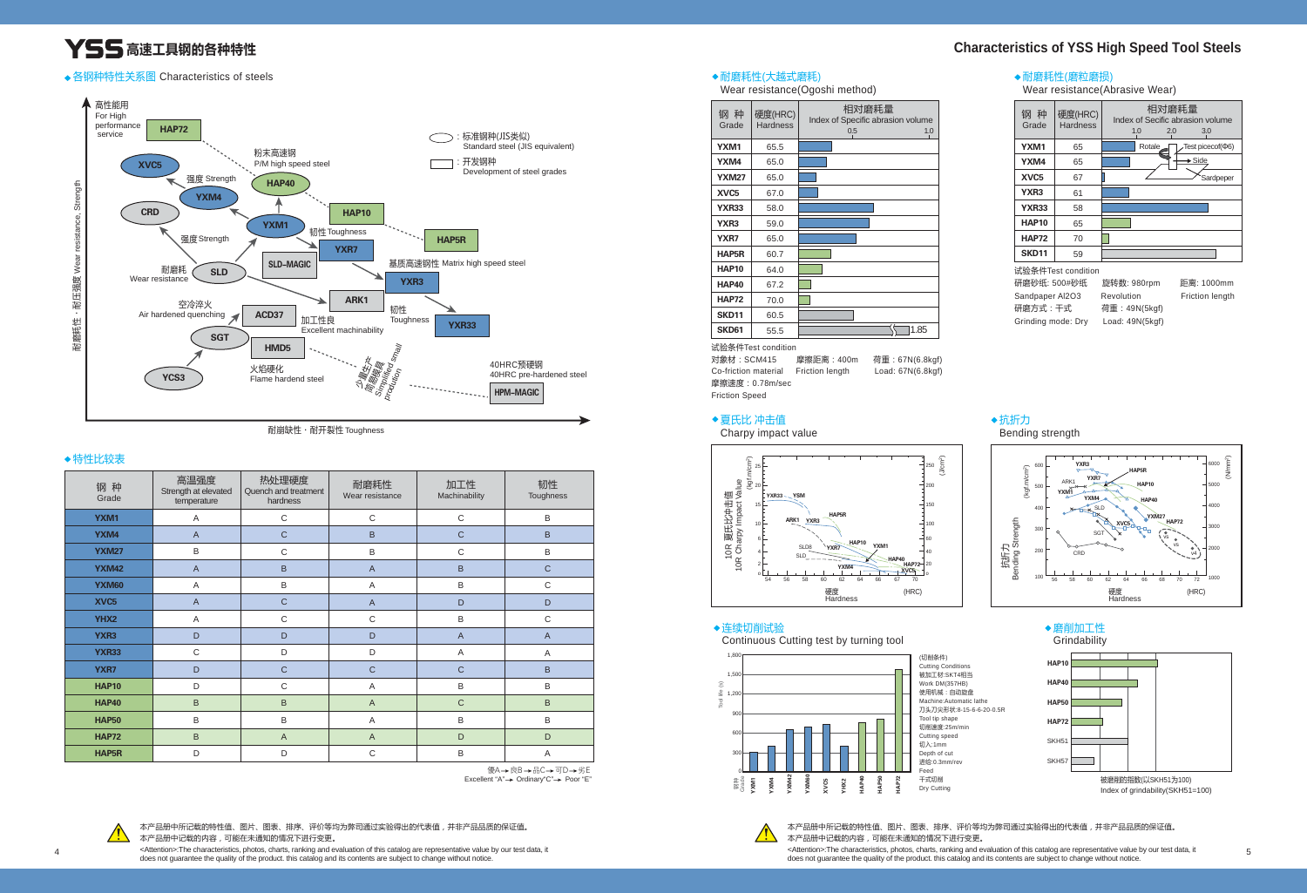本产品册中所记载的特性值、图片、图表、排序、评价等均为弊司通过实验得出的代表值,并非产品品质的保证值。 本产品册中记载的内容,可能在未通知的情况下进行变更。

<Attention>:The characteristics, photos, charts, ranking and evaluation of this catalog are representative value by our test data, it does not guarantee the quality of the product. this catalog and its contents are subject to change without notice.

本产品册中所记载的特性值、图片、图表、排序、评价等均为弊司通过实验得出的代表值,并非产品品质的保证值。 本产品册中记载的内容,可能在未通知的情况下进行变更。 <Attention>:The characteristics, photos, charts, ranking and evaluation of this catalog are representative value by our test data, it ∠Attention>:1he characteristics, photos, characteristics, photos and evaluation of this catalog and evaluation of this catalog are representative value by our test data, it<br>does not guarantee the quality of the product. t

◆抗折力 Bending strength

| 钢种<br>Grade      | 高温强度<br>Strength at elevated<br>temperature | 热处理硬度<br>Quench and treatment<br>hardness | 耐磨耗性<br>Wear resistance | 加工性<br>Machinability | 韧性<br>Toughness |
|------------------|---------------------------------------------|-------------------------------------------|-------------------------|----------------------|-----------------|
| YXM1             | A                                           | $\mathsf{C}$                              | $\mathsf C$             | $\mathbf C$          | B               |
| YXM4             | $\overline{A}$                              | $\mathsf{C}$                              | B                       | $\mathsf{C}$         | B               |
| <b>YXM27</b>     | B                                           | $\mathsf C$                               | B                       | $\mathsf C$          | B               |
| <b>YXM42</b>     | $\overline{A}$                              | B                                         | $\overline{A}$          | $\sf B$              | $\mathsf{C}$    |
| <b>YXM60</b>     | A                                           | $\sf B$                                   | A                       | $\sf B$              | $\mathsf C$     |
| XVC <sub>5</sub> | $\overline{A}$                              | $\mathsf C$                               | $\mathsf{A}$            | D                    | D               |
| YHX2             | Α                                           | $\mathsf C$                               | $\mathsf C$             | $\sf B$              | $\mathbf C$     |
| YXR3             | D                                           | D                                         | D                       | $\overline{A}$       | $\overline{A}$  |
| <b>YXR33</b>     | $\mathsf C$                                 | D                                         | D                       | A                    | A               |
| YXR7             | D                                           | $\mathsf{C}$                              | $\mathsf{C}$            | $\mathsf{C}$         | B               |
| <b>HAP10</b>     | D                                           | $\mathsf{C}$                              | Α                       | $\sf B$              | B               |
| <b>HAP40</b>     | B                                           | B                                         | $\overline{A}$          | $\mathsf{C}$         | B               |
| <b>HAP50</b>     | B                                           | B                                         | A                       | $\sf B$              | B               |
| <b>HAP72</b>     | B                                           | $\overline{A}$                            | $\overline{A}$          | D                    | D               |
| <b>HAP5R</b>     | D                                           | D                                         | $\mathsf{C}$            | B                    | $\overline{A}$  |

Excellent "A" > Ordinary "C" > Poor "E" 優A→良B→品C→可D→劣E



# **YSS** 高速工具钢的各种特性

### 各钢种特性关系图Characteristics of steels 耐磨耗性(大越式磨耗)

Wear resistance(Ogoshi method)

## 夏氏比 冲击值

Charpy impact value

# 连续切削试验

Continuous Cutting test by turning tool

## 特性比较表



耐崩缺性・耐开裂性 Toughness

| 钢种<br>Grade      | 硬度(HRC)<br><b>Hardness</b> | 相对磨耗量<br>Index of Specific abrasion volume<br>0.5<br>1.0 |
|------------------|----------------------------|----------------------------------------------------------|
| YXM1             | 65.5                       |                                                          |
| YXM4             | 65.0                       |                                                          |
| <b>YXM27</b>     | 65.0                       |                                                          |
| XVC <sub>5</sub> | 67.0                       |                                                          |
| <b>YXR33</b>     | 58.0                       |                                                          |
| YXR3             | 59.0                       |                                                          |
| YXR7             | 65.0                       |                                                          |
| <b>HAP5R</b>     | 60.7                       |                                                          |
| <b>HAP10</b>     | 64.0                       |                                                          |
| <b>HAP40</b>     | 67.2                       |                                                          |
| <b>HAP72</b>     | 70.0                       |                                                          |
| <b>SKD11</b>     | 60.5                       |                                                          |
| <b>SKD61</b>     | 55.5                       | 1.85                                                     |

试验条件Test condition 研磨砂纸: 500#砂纸 旋转数: 980rpm 距离: 1000mm Sandpaper Al2O3 Revolution Friction length 研磨方式:干式 荷重:49N(5kgf)

Grinding mode: Dry Load: 49N(5kgf)

试验条件Test condition

对象材:SCM415 摩擦距离:400m 荷重:67N(6.8kgf)

Co-friction material Friction length Load: 67N(6.8kgf) 摩擦速度:0.78m/sec Friction Speed







## 耐磨耗性(磨粒磨损)

Wear resistance(Abrasive Wear)



| 目对磨耗量<br>pecific abrasion volume<br>0.5<br>1.0 | 钢种<br>Grade      | 硬度(HRC)<br><b>Hardness</b> | 相对磨耗量<br>Index of Secific abrasion volume<br>1.0<br>2.0<br>3.0 |
|------------------------------------------------|------------------|----------------------------|----------------------------------------------------------------|
|                                                | YXM1             | 65                         | Test picecof(¢6)<br>Rotale                                     |
|                                                | YXM4             | 65                         | $\rightarrow$ Side                                             |
|                                                | XVC <sub>5</sub> | 67                         | Sardpeper                                                      |
|                                                | YXR <sub>3</sub> | 61                         |                                                                |
|                                                | <b>YXR33</b>     | 58                         |                                                                |
|                                                | <b>HAP10</b>     | 65                         |                                                                |
|                                                | <b>HAP72</b>     | 70                         |                                                                |
|                                                | <b>SKD11</b>     | 59                         |                                                                |



# **Characteristics of YSS High Speed Tool Steels**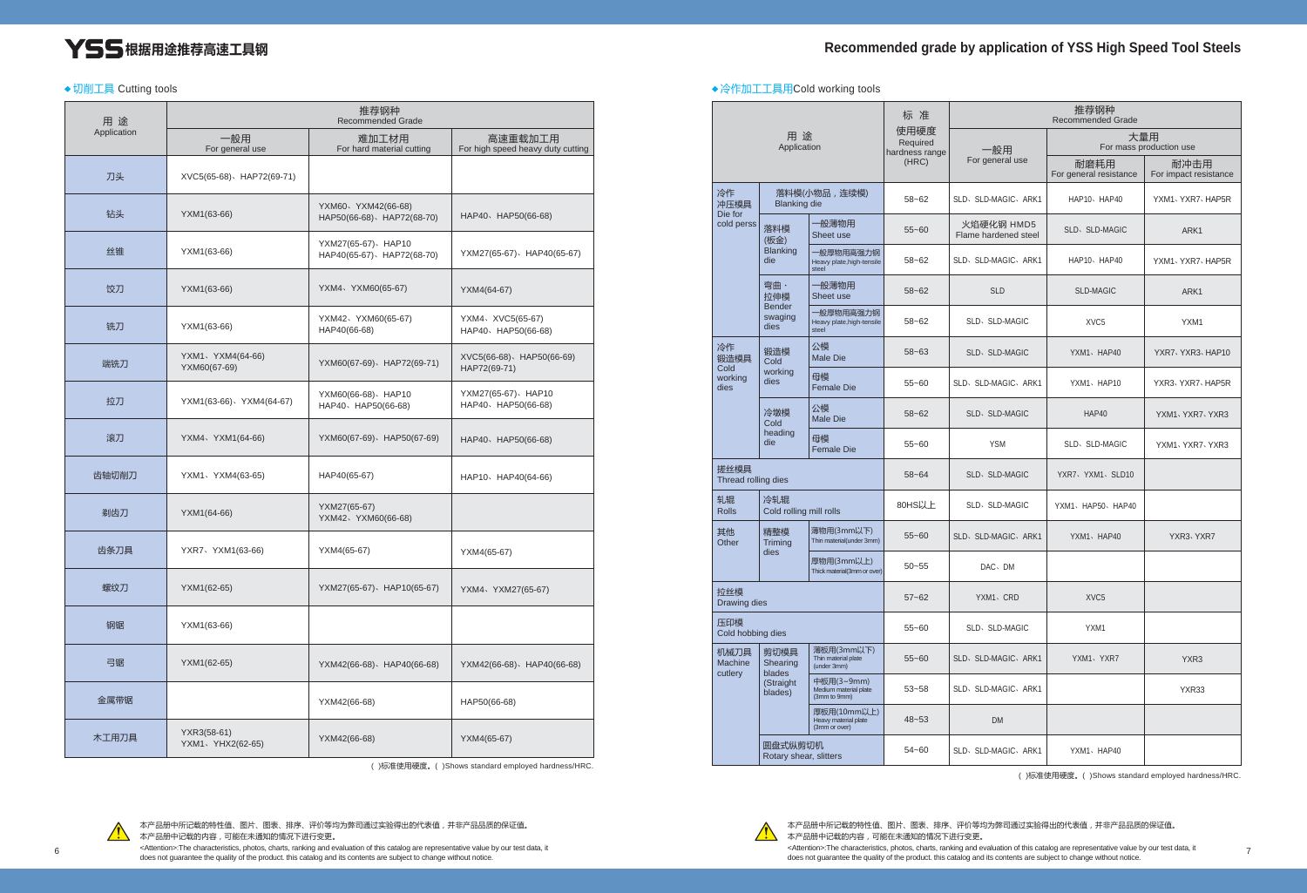# **YSS**根据用途推荐高速工具钢

◆切削工具 Cutting tools

本产品册中所记载的特性值、图片、图表、排序、评价等均为弊司通过实验得出的代表值,并非产品品质的保证值。 本产品册中记载的内容,可能在未通知的情况下进行变更。

<Attention>:The characteristics, photos, charts, ranking and evaluation of this catalog are representative value by our test data, it

( )标准使用硬度。( )Shows standard employed hardness/HRC.



| 用途          |                                  | 推荐钢种<br><b>Recommended Grade</b>                   |                                              |
|-------------|----------------------------------|----------------------------------------------------|----------------------------------------------|
| Application | 一般用<br>For general use           | 难加工材用<br>For hard material cutting                 | 高速重载加工用<br>For high speed heavy duty cutting |
| 刀头          | XVC5(65-68) HAP72(69-71)         |                                                    |                                              |
| 钻头          | YXM1(63-66)                      | YXM60、YXM42(66-68)<br>HAP50(66-68) \HAP72(68-70)   | HAP40、HAP50(66-68)                           |
| 丝锥          | YXM1(63-66)                      | YXM27(65-67) \ HAP10<br>HAP40(65-67) \HAP72(68-70) | YXM27(65-67) \HAP40(65-67)                   |
| 饺刀          | YXM1(63-66)                      | YXM4、YXM60(65-67)                                  | YXM4(64-67)                                  |
| 铣刀          | YXM1(63-66)                      | YXM42、YXM60(65-67)<br>HAP40(66-68)                 | YXM4、XVC5(65-67)<br>HAP40、HAP50(66-68)       |
| 端铣刀         | YXM1、YXM4(64-66)<br>YXM60(67-69) | YXM60(67-69)、HAP72(69-71)                          | XVC5(66-68) \HAP50(66-69)<br>HAP72(69-71)    |
| 拉刀          | YXM1(63-66) VXM4(64-67)          | YXM60(66-68) \ HAP10<br>HAP40、HAP50(66-68)         | YXM27(65-67) \ HAP10<br>HAP40、HAP50(66-68)   |
| 滚刀          | YXM4、YXM1(64-66)                 | YXM60(67-69) \HAP50(67-69)                         | HAP40、HAP50(66-68)                           |
| 齿轴切削刀       | YXM1、YXM4(63-65)                 | HAP40(65-67)                                       | HAP10、HAP40(64-66)                           |
| 剃齿刀         | YXM1(64-66)                      | YXM27(65-67)<br>YXM42、YXM60(66-68)                 |                                              |
| 齿条刀具        | YXR7 \ YXM1(63-66)               | YXM4(65-67)                                        | YXM4(65-67)                                  |
| 螺纹刀         | YXM1(62-65)                      | YXM27(65-67) \HAP10(65-67)                         | YXM4、YXM27(65-67)                            |
| 钢锯          | YXM1(63-66)                      |                                                    |                                              |
| 弓锯          | YXM1(62-65)                      | YXM42(66-68)、HAP40(66-68)                          | YXM42(66-68) HAP40(66-68)                    |
| 金属带锯        |                                  | YXM42(66-68)                                       | HAP50(66-68)                                 |
| 木工用刀具       | YXR3(58-61)<br>YXM1、YHX2(62-65)  | YXM42(66-68)                                       | YXM4(65-67)                                  |

|                                   |                                  |                                                      | 标准                                 |                                    | 推荐钢种<br><b>Recommended Grade</b> |                               |  |
|-----------------------------------|----------------------------------|------------------------------------------------------|------------------------------------|------------------------------------|----------------------------------|-------------------------------|--|
|                                   | 用途<br>Application                |                                                      | 使用硬度<br>Required<br>hardness range | 一般用                                | 大量用<br>For mass production use   |                               |  |
|                                   |                                  |                                                      | (HRC)                              | For general use                    | 耐磨耗用<br>For general resistance   | 耐冲击用<br>For impact resistance |  |
| 冷作<br>冲压模具<br><b>Blanking die</b> |                                  | 落料模(小物品,连续模)                                         | $58 - 62$                          | SLD, SLD-MAGIC, ARK1               | HAP10, HAP40                     | YXM1、YXR7、HAP5R               |  |
| Die for<br>cold perss             | 落料模<br>(板金)                      | 一般薄物用<br>Sheet use                                   | $55 - 60$                          | 火焰硬化钢 HMD5<br>Flame hardened steel | SLD, SLD-MAGIC                   | ARK1                          |  |
|                                   | <b>Blanking</b><br>die           | 一般厚物用高强力钢<br>Heavy plate, high-tensile<br>steel      | $58 - 62$                          | SLD, SLD-MAGIC, ARK1               | HAP10, HAP40                     | YXM1、YXR7、HAP5R               |  |
|                                   | 弯曲·<br>拉伸模                       | 一般薄物用<br>Sheet use                                   | $58 - 62$                          | <b>SLD</b>                         | <b>SLD-MAGIC</b>                 | ARK1                          |  |
|                                   | <b>Bender</b><br>swaging<br>dies | 一般厚物用高强力钢<br>Heavy plate, high-tensile<br>steel      | $58 - 62$                          | SLD, SLD-MAGIC                     | XVC <sub>5</sub>                 | YXM1                          |  |
| 冷作<br>锻造模具                        | 锻造模<br>Cold                      | 公模<br><b>Male Die</b>                                | $58 - 63$                          | <b>SLD</b> , SLD-MAGIC             | YXM1、HAP40                       | YXR7 YXR3 HAP10               |  |
| Cold<br>working<br>dies           | working<br>dies                  | 母模<br><b>Female Die</b>                              | $55 - 60$                          | SLD, SLD-MAGIC, ARK1               | YXM1、HAP10                       | YXR3, YXR7, HAP5R             |  |
|                                   | 冷墩模<br>Cold                      | 公模<br><b>Male Die</b>                                | $58 - 62$                          | <b>SLD</b> , SLD-MAGIC             | HAP40                            | YXM1 . YXR7 . YXR3            |  |
|                                   | heading<br>die                   | 母模<br><b>Female Die</b>                              | $55 - 60$                          | <b>YSM</b>                         | SLD, SLD-MAGIC                   | YXM1 YXR7 YXR3                |  |
| 搓丝模具<br>Thread rolling dies       |                                  |                                                      | $58 - 64$                          | <b>SLD</b> , SLD-MAGIC             | YXR7、YXM1、SLD10                  |                               |  |
| 轧辊<br><b>Rolls</b>                | 冷轧辊<br>Cold rolling mill rolls   |                                                      | 80HS以上                             | SLD, SLD-MAGIC                     | YXM1、HAP50、HAP40                 |                               |  |
| 其他<br>Other                       | 精整模<br><b>Trimina</b>            | 薄物用(3mm以下)<br>Thin material(under 3mm)               | $55 - 60$                          | SLD, SLD-MAGIC, ARK1               | YXM1、HAP40                       | YXR3 YXR7                     |  |
|                                   | dies                             | 厚物用(3mm以上)<br>Thick material(3mm or over)            | $50 - 55$                          | DAC <sub></sub> DM                 |                                  |                               |  |
| 拉丝模<br>Drawing dies               |                                  |                                                      | $57 - 62$                          | YXM1、CRD                           | XVC <sub>5</sub>                 |                               |  |
| 压印模<br>Cold hobbing dies          |                                  | 55~60                                                | SLD, SLD-MAGIC                     | YXM1                               |                                  |                               |  |
| 机械刀具<br>Machine<br>cutlery        | 剪切模具<br>Shearing<br>blades       | 薄板用(3mm以下)<br>Thin material plate<br>(under 3mm)     | $55 - 60$                          | SLD, SLD-MAGIC, ARK1               | YXM1、YXR7                        | YXR3                          |  |
|                                   | (Straight<br>blades)             | 中板用(3~9mm)<br>Medium material plate<br>(3mm to 9mm)  | $53 - 58$                          | SLD, SLD-MAGIC, ARK1               |                                  | YXR33                         |  |
|                                   |                                  | 厚板用(10mm以上)<br>Heavy material plate<br>(3mm or over) | $48 - 53$                          | <b>DM</b>                          |                                  |                               |  |
| 圆盘式纵剪切机<br>Rotary shear, slitters |                                  |                                                      | 54~60                              | SLD, SLD-MAGIC, ARK1               | YXM1、HAP40                       |                               |  |



本产品册中所记载的特性值、图片、图表、排序、评价等均为弊司通过实验得出的代表值,并非产品品质的保证值。 本产品册中记载的内容,可能在未通知的情况下进行变更。 <Attention>:The characteristics, photos, charts, ranking and evaluation of this catalog are representative value by our test data, it  $\beta$   $\gamma$   $\gamma$  antention the characteristics, photos, characteristics, photos, characteristics, photos, characteristics, provides in the characteristics, photos, characteristics, photos, characteristics, provided and the

( )标准使用硬度。( )Shows standard employed hardness/HRC.

### 冷作加工工具用Cold working tools

# **Recommended grade by application of YSS High Speed Tool Steels**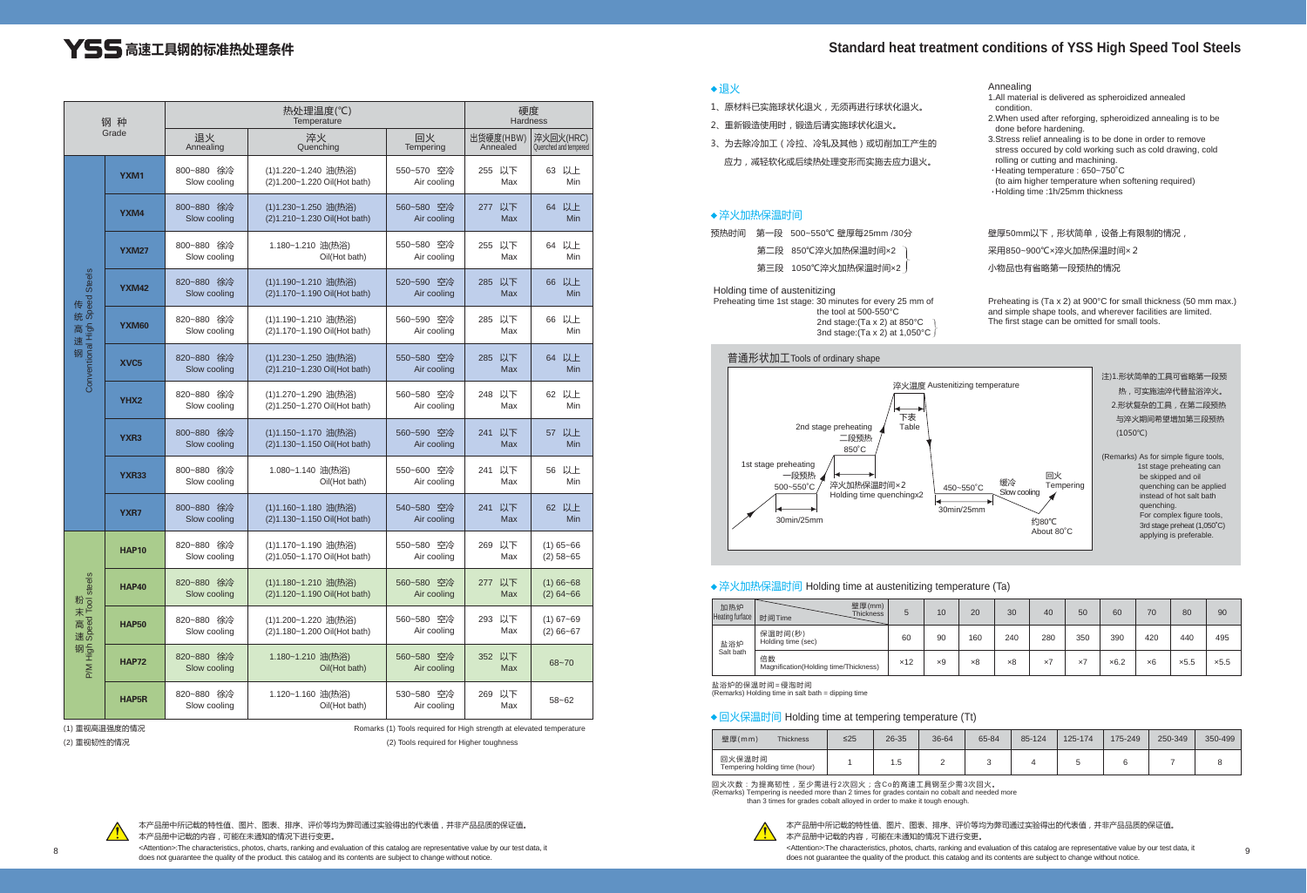本产品册中所记载的特性值、图片、图表、排序、评价等均为弊司通过实验得出的代表值,并非产品品质的保证值。 本产品册中记载的内容,可能在未通知的情况下进行变更。 Attention>:The characteristics, photos, charts, ranking and evaluation of this catalog are representative value by our test data, it 
step exacteristics, photos, charts, ranking and evaluation of this catalog are represent does not guarantee the quality of the product. this catalog and its contents are subject to change without notice.

# **Int conditions of YSS High Speed Tool Steels**

本产品册中所记载的特性值、图片、图表、排序、评价等均为弊司通过实验得出的代表值,并非产品品质的保证值。 本产品册中记载的内容,可能在未通知的情况下进行变更。

<Attention>:The characteristics, photos, charts, ranking and evaluation of this catalog are representative value by our test data, it does not guarantee the quality of the product. this catalog and its contents are subject to change without notice.

- 1、原材料已实施球状化退火,无须再进行球状化退火。
- 2、重新锻造使用时,锻造后请实施球状化退火。
- 3、为去除冷加工(冷拉、冷轧及其他)或切削加工产生的 应力,减轻软化或后续热处理变形而实施去应力退火。

## (1)重视高温强度的情况

(2)重视韧性的情况

Romarks (1) Tools required for High strength at elevated temperature

(2) Tools required for Higher toughness



### 退火

# **YSS 高速工具钢的标准热处理条件**

| <b>Standard heat treatmer</b> |  |  |  |
|-------------------------------|--|--|--|
|-------------------------------|--|--|--|

| 钢种<br>Grade                         |                  |                            | 硬度<br><b>Hardness</b>                                |                           |                         |                                    |
|-------------------------------------|------------------|----------------------------|------------------------------------------------------|---------------------------|-------------------------|------------------------------------|
|                                     |                  | 退火<br>Annealing            | 淬火<br>Quenching                                      | 回火<br>Tempering           | 出货硬度(HBW)<br>Annealed   | 淬火回火(HRC)<br>Quenched and tempered |
|                                     | YXM1             | 800~880 徐冷<br>Slow cooling | (1)1.220~1.240 油(热浴)<br>(2)1.200~1.220 Oil(Hot bath) | 550~570 空冷<br>Air cooling | 255 以下<br>Max           | 63 以上<br>Min                       |
|                                     | YXM4             | 800~880 徐冷<br>Slow cooling | (1)1.230~1.250 油(热浴)<br>(2)1.210~1.230 Oil(Hot bath) | 560~580 空冷<br>Air cooling | 277 以下<br><b>Max</b>    | 64 以上<br><b>Min</b>                |
|                                     | <b>YXM27</b>     | 800~880 徐冷<br>Slow cooling | 1.180~1.210 油(热浴)<br>Oil(Hot bath)                   | 550~580 空冷<br>Air cooling | 255 以下<br>Max           | 以上<br>64<br>Min                    |
|                                     | <b>YXM42</b>     | 820~880 徐冷<br>Slow cooling | (1)1.190~1.210 油(热浴)<br>(2)1.170~1.190 Oil(Hot bath) | 520~590 空冷<br>Air cooling | 285 以下<br><b>Max</b>    | 以上<br>66<br><b>Min</b>             |
| - 传统高速钢 - \$PeaS up in reuniversity | YXM60            | 820~880 徐冷<br>Slow cooling | (1)1.190~1.210 油(热浴)<br>(2)1.170~1.190 Oil(Hot bath) | 560~590 空冷<br>Air cooling | 285 以下<br>Max           | 66 以上<br>Min                       |
|                                     | XVC <sub>5</sub> | 820~880 徐冷<br>Slow cooling | (1)1.230~1.250 油(热浴)<br>(2)1.210~1.230 Oil(Hot bath) | 550~580 空冷<br>Air cooling | 285 以下<br><b>Max</b>    | 以上<br>64<br><b>Min</b>             |
|                                     | YHX <sub>2</sub> | 820~880 徐冷<br>Slow cooling | (1)1.270~1.290 油(热浴)<br>(2)1.250~1.270 Oil(Hot bath) | 560~580 空冷<br>Air cooling | 248 以下<br>Max           | 62 以上<br>Min                       |
|                                     | YXR <sub>3</sub> | 800~880 徐冷<br>Slow cooling | (1)1.150~1.170 油(热浴)<br>(2)1.130~1.150 Oil(Hot bath) | 560~590 空冷<br>Air cooling | 241<br>以下<br><b>Max</b> | 以上<br>57<br><b>Min</b>             |
|                                     | <b>YXR33</b>     | 800~880 徐冷<br>Slow cooling | 1.080~1.140 油(热浴)<br>Oil(Hot bath)                   | 550~600 空冷<br>Air cooling | 241 以下<br>Max           | 56 以上<br>Min                       |
|                                     | <b>YXR7</b>      | 800~880 徐冷<br>Slow cooling | (1)1.160~1.180 油(热浴)<br>(2)1.130~1.150 Oil(Hot bath) | 540~580 空冷<br>Air cooling | 241 以下<br>Max           | 62 以上<br>Min                       |
| 粉末高速钢<br>sees looL peedS upH Wd     | <b>HAP10</b>     | 820~880 徐冷<br>Slow cooling | (1)1.170~1.190 油(热浴)<br>(2)1.050~1.170 Oil(Hot bath) | 550~580 空冷<br>Air cooling | 269 以下<br>Max           | $(1)$ 65~66<br>$(2)$ 58~65         |
|                                     | <b>HAP40</b>     | 820~880 徐冷<br>Slow cooling | (1)1.180~1.210 油(热浴)<br>(2)1.120~1.190 Oil(Hot bath) | 560~580 空冷<br>Air cooling | 277 以下<br>Max           | $(1) 66 - 68$<br>$(2) 64 - 66$     |
|                                     | <b>HAP50</b>     | 820~880 徐冷<br>Slow cooling | (1)1.200~1.220 油(热浴)<br>(2)1.180~1.200 Oil(Hot bath) | 560~580 空冷<br>Air cooling | 293 以下<br>Max           | $(1) 67 - 69$<br>$(2) 66 - 67$     |
|                                     | <b>HAP72</b>     | 820~880 徐冷<br>Slow cooling | 1.180~1.210 油(热浴)<br>Oil(Hot bath)                   | 560~580 空冷<br>Air cooling | 352 以下<br>Max           | $68 - 70$                          |
|                                     | <b>HAP5R</b>     | 820~880 徐冷<br>Slow cooling | 1.120~1.160 油(热浴)<br>Oil(Hot bath)                   | 530~580 空冷<br>Air cooling | 269 以下<br>Max           | $58 - 62$                          |

#### Annealing

- 1.All material is delivered as spheroidized annealed condition.
- 2.When used after reforging, spheroidized annealing is to be done before hardening.
- 3.Stress relief annealing is to be done in order to remove stress occured by cold working such as cold drawing, cold rolling or cutting and machining.
- Heating temperature : 650~750˚C (to aim higher temperature when softening required)
- Holding time :1h/25mm thickness

壁厚50mm以下,形状简单,设备上有限制的情况

#### 淬火加热保温时间

#### Holding time of austenitizing

Preheating time 1st stage: 30 minutes for every 25 mm of the tool at 500-550°C 2nd stage:(Ta x 2) at 850°C 3nd stage:(Ta x 2) at 1,050°C

采用850~900℃×淬火加热保温时间×2

小物品也有省略第一段预热的情况

Preheating is (Ta x 2) at 900°C for small thickness (50 mm max.) and simple shape tools, and wherever facilities are limited. The first stage can be omitted for small tools.

预热时间 第一段 500~550℃ 壁厚每25mm /30分

第二段 850℃淬火加热保温时间×2

第三段 1050℃淬火加热保温时间×2



#### ◆ 淬火加热保温时间 Holding time at austenitizing temperature (Ta)

盐浴炉的保温时间=侵泡时间

(Remarks) Holding time in salt bath = dipping time

#### ◆ 回火保温时间 Holding time at tempering temperature (Tt)

回火次数:为提高韧性,至少需进行2次回火;含Co的高速工具钢至少需3次回火。 (Remarks) Tempering is needed more than 2 times for grades contain no cobalt and needed more than 3 times for grades cobalt alloyed in order to make it tough enough.



| 加热炉<br><b>Heating furface</b> | 壁厚(mm)<br><b>Thickness</b><br>时间Time        | 5   | 10         | 20         | 30         | 40         | 50         | 60           | 70  | 80           | 90   |
|-------------------------------|---------------------------------------------|-----|------------|------------|------------|------------|------------|--------------|-----|--------------|------|
| 盐浴炉<br>Salt bath              | 保温时间(秒)<br>Holding time (sec)               | 60  | 90         | 160        | 240        | 280        | 350        | 390          | 420 | 440          | 495  |
|                               | 倍数<br>Magnification(Holding time/Thickness) | x12 | $\times 9$ | $\times 8$ | $\times 8$ | $\times 7$ | $\times 7$ | $\times 6.2$ | ×6  | $\times$ 5.5 | x5.5 |

| 壁厚(mm)<br><b>Thickness</b>              | $\leq$ 25 | 26-35 | 36-64 | 65-84 | 85-124 | 125-174 | 175-249 | 250-349 | 350-499 |
|-----------------------------------------|-----------|-------|-------|-------|--------|---------|---------|---------|---------|
| 回火保温时间<br>Tempering holding time (hour) |           | l .5  | c     |       |        |         |         |         |         |